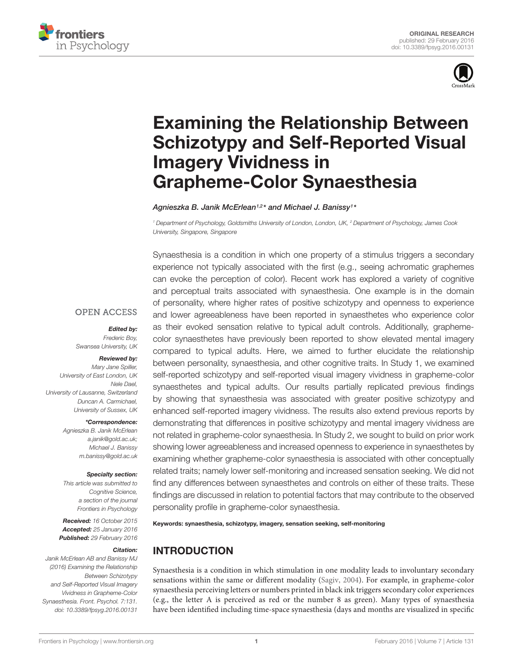



# Examining the Relationship Between [Schizotypy and Self-Reported Visual](http://journal.frontiersin.org/article/10.3389/fpsyg.2016.00131/abstract) Imagery Vividness in Grapheme-Color Synaesthesia

#### [Agnieszka B. Janik McErlean](http://loop.frontiersin.org/people/284986/overview)1,2\* and [Michael J. Banissy](http://loop.frontiersin.org/people/59248/overview)1\*

<sup>1</sup> Department of Psychology, Goldsmiths University of London, London, UK, <sup>2</sup> Department of Psychology, James Cook University, Singapore, Singapore

Synaesthesia is a condition in which one property of a stimulus triggers a secondary

**OPEN ACCESS** 

#### Edited by:

Frederic Boy, Swansea University, UK

### Reviewed by:

Mary Jane Spiller, University of East London, UK Nele Dael, University of Lausanne, Switzerland Duncan A. Carmichael, University of Sussex, UK

#### \*Correspondence:

Agnieszka B. Janik McErlean a.janik@gold.ac.uk; Michael J. Banissy m.banissy@gold.ac.uk

#### Specialty section:

This article was submitted to Cognitive Science, a section of the journal Frontiers in Psychology

Received: 16 October 2015 Accepted: 25 January 2016 Published: 29 February 2016

#### Citation:

Janik McErlean AB and Banissy MJ (2016) Examining the Relationship Between Schizotypy and Self-Reported Visual Imagery Vividness in Grapheme-Color Synaesthesia. Front. Psychol. 7:131. doi: [10.3389/fpsyg.2016.00131](http://dx.doi.org/10.3389/fpsyg.2016.00131)

experience not typically associated with the first (e.g., seeing achromatic graphemes can evoke the perception of color). Recent work has explored a variety of cognitive and perceptual traits associated with synaesthesia. One example is in the domain of personality, where higher rates of positive schizotypy and openness to experience and lower agreeableness have been reported in synaesthetes who experience color as their evoked sensation relative to typical adult controls. Additionally, graphemecolor synaesthetes have previously been reported to show elevated mental imagery compared to typical adults. Here, we aimed to further elucidate the relationship between personality, synaesthesia, and other cognitive traits. In Study 1, we examined self-reported schizotypy and self-reported visual imagery vividness in grapheme-color synaesthetes and typical adults. Our results partially replicated previous findings by showing that synaesthesia was associated with greater positive schizotypy and enhanced self-reported imagery vividness. The results also extend previous reports by demonstrating that differences in positive schizotypy and mental imagery vividness are not related in grapheme-color synaesthesia. In Study 2, we sought to build on prior work showing lower agreeableness and increased openness to experience in synaesthetes by examining whether grapheme-color synaesthesia is associated with other conceptually related traits; namely lower self-monitoring and increased sensation seeking. We did not find any differences between synaesthetes and controls on either of these traits. These findings are discussed in relation to potential factors that may contribute to the observed personality profile in grapheme-color synaesthesia.

#### Keywords: synaesthesia, schizotypy, imagery, sensation seeking, self-monitoring

### INTRODUCTION

Synaesthesia is a condition in which stimulation in one modality leads to involuntary secondary sensations within the same or different modality [\(Sagiv, 2004\)](#page-7-0). For example, in grapheme-color synaesthesia perceiving letters or numbers printed in black ink triggers secondary color experiences (e.g., the letter A is perceived as red or the number 8 as green). Many types of synaesthesia have been identified including time-space synaesthesia (days and months are visualized in specific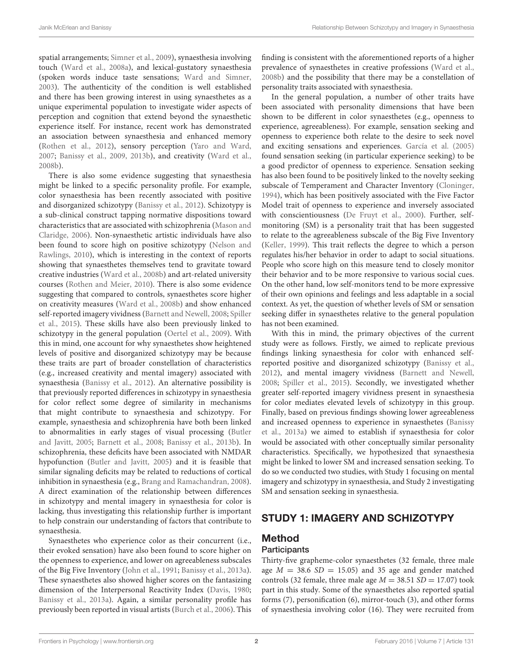spatial arrangements; [Simner et al.,](#page-7-1) [2009\)](#page-7-1), synaesthesia involving touch [\(Ward et al.,](#page-7-2) [2008a\)](#page-7-2), and lexical-gustatory synaesthesia (spoken words induce taste sensations; [Ward and Simner,](#page-7-3) [2003\)](#page-7-3). The authenticity of the condition is well established and there has been growing interest in using synaesthetes as a unique experimental population to investigate wider aspects of perception and cognition that extend beyond the synaesthetic experience itself. For instance, recent work has demonstrated an association between synaesthesia and enhanced memory [\(Rothen et al.,](#page-7-4) [2012\)](#page-7-4), sensory perception [\(Yaro and Ward,](#page-7-5) [2007;](#page-7-5) [Banissy et al.,](#page-6-0) [2009,](#page-6-0) [2013b\)](#page-6-1), and creativity [\(Ward et al.,](#page-7-6) [2008b\)](#page-7-6).

There is also some evidence suggesting that synaesthesia might be linked to a specific personality profile. For example, color synaesthesia has been recently associated with positive and disorganized schizotypy [\(Banissy et al.,](#page-6-2) [2012\)](#page-6-2). Schizotypy is a sub-clinical construct tapping normative dispositions toward characteristics that are associated with schizophrenia [\(Mason and](#page-6-3) [Claridge,](#page-6-3) [2006\)](#page-6-3). Non-synaesthetic artistic individuals have also been found to score high on positive schizotypy [\(Nelson and](#page-6-4) [Rawlings,](#page-6-4) [2010\)](#page-6-4), which is interesting in the context of reports showing that synaesthetes themselves tend to gravitate toward creative industries [\(Ward et al.,](#page-7-6) [2008b\)](#page-7-6) and art-related university courses [\(Rothen and Meier,](#page-7-7) [2010\)](#page-7-7). There is also some evidence suggesting that compared to controls, synaesthetes score higher on creativity measures [\(Ward et al.,](#page-7-6) [2008b\)](#page-7-6) and show enhanced self-reported imagery vividness [\(Barnett and Newell,](#page-6-5) [2008;](#page-6-5) [Spiller](#page-7-8) [et al.,](#page-7-8) [2015\)](#page-7-8). These skills have also been previously linked to schizotypy in the general population [\(Oertel et al.,](#page-6-6) [2009\)](#page-6-6). With this in mind, one account for why synaesthetes show heightened levels of positive and disorganized schizotypy may be because these traits are part of broader constellation of characteristics (e.g., increased creativity and mental imagery) associated with synaesthesia [\(Banissy et al.,](#page-6-2) [2012\)](#page-6-2). An alternative possibility is that previously reported differences in schizotypy in synaesthesia for color reflect some degree of similarity in mechanisms that might contribute to synaesthesia and schizotypy. For example, synaesthesia and schizophrenia have both been linked to abnormalities in early stages of visual processing [\(Butler](#page-6-7) [and Javitt,](#page-6-7) [2005;](#page-6-7) [Barnett et al.,](#page-6-8) [2008;](#page-6-8) [Banissy et al.,](#page-6-1) [2013b\)](#page-6-1). In schizophrenia, these deficits have been associated with NMDAR hypofunction [\(Butler and Javitt,](#page-6-7) [2005\)](#page-6-7) and it is feasible that similar signaling deficits may be related to reductions of cortical inhibition in synaesthesia (e.g., [Brang and Ramachandran,](#page-6-9) [2008\)](#page-6-9). A direct examination of the relationship between differences in schizotypy and mental imagery in synaesthesia for color is lacking, thus investigating this relationship further is important to help constrain our understanding of factors that contribute to synaesthesia.

Synaesthetes who experience color as their concurrent (i.e., their evoked sensation) have also been found to score higher on the openness to experience, and lower on agreeableness subscales of the Big Five Inventory [\(John et al.,](#page-6-10) [1991;](#page-6-10) [Banissy et al.,](#page-6-11) [2013a\)](#page-6-11). These synaesthetes also showed higher scores on the fantasizing dimension of the Interpersonal Reactivity Index [\(Davis,](#page-6-12) [1980;](#page-6-12) [Banissy et al.,](#page-6-11) [2013a\)](#page-6-11). Again, a similar personality profile has previously been reported in visual artists [\(Burch et al.,](#page-6-13) [2006\)](#page-6-13). This finding is consistent with the aforementioned reports of a higher prevalence of synaesthetes in creative professions [\(Ward et al.,](#page-7-6) [2008b\)](#page-7-6) and the possibility that there may be a constellation of personality traits associated with synaesthesia.

In the general population, a number of other traits have been associated with personality dimensions that have been shown to be different in color synaesthetes (e.g., openness to experience, agreeableness). For example, sensation seeking and openness to experience both relate to the desire to seek novel and exciting sensations and experiences. [García et al.](#page-6-14) [\(2005\)](#page-6-14) found sensation seeking (in particular experience seeking) to be a good predictor of openness to experience. Sensation seeking has also been found to be positively linked to the novelty seeking subscale of Temperament and Character Inventory [\(Cloninger,](#page-6-15) [1994\)](#page-6-15), which has been positively associated with the Five Factor Model trait of openness to experience and inversely associated with conscientiousness [\(De Fruyt et al.,](#page-6-16) [2000\)](#page-6-16). Further, selfmonitoring (SM) is a personality trait that has been suggested to relate to the agreeableness subscale of the Big Five Inventory [\(Keller,](#page-6-17) [1999\)](#page-6-17). This trait reflects the degree to which a person regulates his/her behavior in order to adapt to social situations. People who score high on this measure tend to closely monitor their behavior and to be more responsive to various social cues. On the other hand, low self-monitors tend to be more expressive of their own opinions and feelings and less adaptable in a social context. As yet, the question of whether levels of SM or sensation seeking differ in synaesthetes relative to the general population has not been examined.

With this in mind, the primary objectives of the current study were as follows. Firstly, we aimed to replicate previous findings linking synaesthesia for color with enhanced selfreported positive and disorganized schizotypy [\(Banissy et al.,](#page-6-2) [2012\)](#page-6-2), and mental imagery vividness [\(Barnett and Newell,](#page-6-5) [2008;](#page-6-5) [Spiller et al.,](#page-7-8) [2015\)](#page-7-8). Secondly, we investigated whether greater self-reported imagery vividness present in synaesthesia for color mediates elevated levels of schizotypy in this group. Finally, based on previous findings showing lower agreeableness and increased openness to experience in synaesthetes [\(Banissy](#page-6-11) [et al.,](#page-6-11) [2013a\)](#page-6-11) we aimed to establish if synaesthesia for color would be associated with other conceptually similar personality characteristics. Specifically, we hypothesized that synaesthesia might be linked to lower SM and increased sensation seeking. To do so we conducted two studies, with Study 1 focusing on mental imagery and schizotypy in synaesthesia, and Study 2 investigating SM and sensation seeking in synaesthesia.

### STUDY 1: IMAGERY AND SCHIZOTYPY

#### Method

#### **Participants**

Thirty-five grapheme-color synaesthetes (32 female, three male age  $M = 38.6$  SD = 15.05) and 35 age and gender matched controls (32 female, three male age  $M = 38.51$  SD = 17.07) took part in this study. Some of the synaesthetes also reported spatial forms (7), personification (6), mirror-touch (3), and other forms of synaesthesia involving color (16). They were recruited from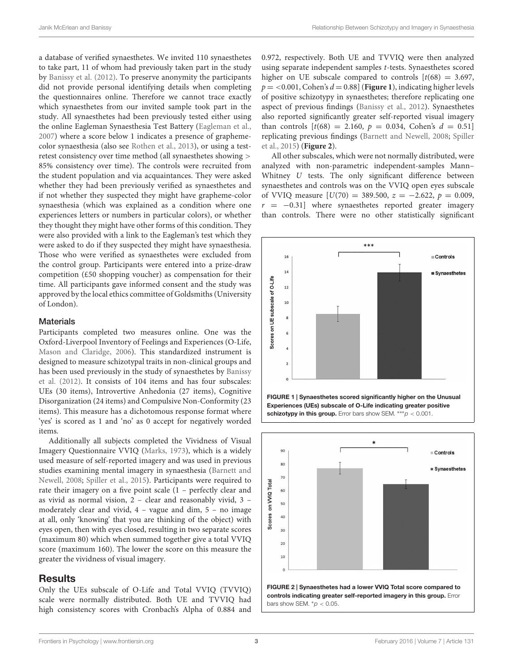a database of verified synaesthetes. We invited 110 synaesthetes to take part, 11 of whom had previously taken part in the study by [Banissy et al.](#page-6-2) [\(2012\)](#page-6-2). To preserve anonymity the participants did not provide personal identifying details when completing the questionnaires online. Therefore we cannot trace exactly which synaesthetes from our invited sample took part in the study. All synaesthetes had been previously tested either using the online Eagleman Synaesthesia Test Battery [\(Eagleman et al.,](#page-6-18) [2007\)](#page-6-18) where a score below 1 indicates a presence of graphemecolor synaesthesia (also see [Rothen et al.,](#page-7-9) [2013\)](#page-7-9), or using a testretest consistency over time method (all synaesthetes showing > 85% consistency over time). The controls were recruited from the student population and via acquaintances. They were asked whether they had been previously verified as synaesthetes and if not whether they suspected they might have grapheme-color synaesthesia (which was explained as a condition where one experiences letters or numbers in particular colors), or whether they thought they might have other forms of this condition. They were also provided with a link to the Eagleman's test which they were asked to do if they suspected they might have synaesthesia. Those who were verified as synaesthetes were excluded from the control group. Participants were entered into a prize-draw competition (£50 shopping voucher) as compensation for their time. All participants gave informed consent and the study was approved by the local ethics committee of Goldsmiths (University of London).

#### **Materials**

Participants completed two measures online. One was the Oxford-Liverpool Inventory of Feelings and Experiences (O-Life, [Mason and Claridge,](#page-6-3) [2006\)](#page-6-3). This standardized instrument is designed to measure schizotypal traits in non-clinical groups and has been used previously in the study of synaesthetes by [Banissy](#page-6-2) [et al.](#page-6-2) [\(2012\)](#page-6-2). It consists of 104 items and has four subscales: UEs (30 items), Introvertive Anhedonia (27 items), Cognitive Disorganization (24 items) and Compulsive Non-Conformity (23 items). This measure has a dichotomous response format where 'yes' is scored as 1 and 'no' as 0 accept for negatively worded items.

Additionally all subjects completed the Vividness of Visual Imagery Questionnaire VVIQ [\(Marks,](#page-6-19) [1973\)](#page-6-19), which is a widely used measure of self-reported imagery and was used in previous studies examining mental imagery in synaesthesia [\(Barnett and](#page-6-5) [Newell,](#page-6-5) [2008;](#page-6-5) [Spiller et al.,](#page-7-8) [2015\)](#page-7-8). Participants were required to rate their imagery on a five point scale (1 – perfectly clear and as vivid as normal vision, 2 – clear and reasonably vivid, 3 – moderately clear and vivid, 4 – vague and dim, 5 – no image at all, only 'knowing' that you are thinking of the object) with eyes open, then with eyes closed, resulting in two separate scores (maximum 80) which when summed together give a total VVIQ score (maximum 160). The lower the score on this measure the greater the vividness of visual imagery.

### **Results**

Only the UEs subscale of O-Life and Total VVIQ (TVVIQ) scale were normally distributed. Both UE and TVVIQ had high consistency scores with Cronbach's Alpha of 0.884 and

0.972, respectively. Both UE and TVVIQ were then analyzed using separate independent samples t-tests. Synaesthetes scored higher on UE subscale compared to controls  $[t(68) = 3.697,$  $p = 0.001$ , Cohen's  $d = 0.88$ ] (**[Figure 1](#page-2-0)**), indicating higher levels of positive schizotypy in synaesthetes; therefore replicating one aspect of previous findings [\(Banissy et al.,](#page-6-2) [2012\)](#page-6-2). Synaesthetes also reported significantly greater self-reported visual imagery than controls  $[t(68) = 2.160, p = 0.034, \text{ Cohen's } d = 0.51]$ replicating previous findings [\(Barnett and Newell,](#page-6-5) [2008;](#page-6-5) [Spiller](#page-7-8) [et al.,](#page-7-8) [2015\)](#page-7-8) (**[Figure 2](#page-2-1)**).

All other subscales, which were not normally distributed, were analyzed with non-parametric independent-samples Mann– Whitney U tests. The only significant difference between synaesthetes and controls was on the VVIQ open eyes subscale of VVIQ measure  $[U(70) = 389.500, z = -2.622, p = 0.009,$  $r = -0.31$ ] where synaesthetes reported greater imagery than controls. There were no other statistically significant



<span id="page-2-0"></span>Experiences (UEs) subscale of O-Life indicating greater positive schizotypy in this group. Error bars show SEM.  $^{***}$  $p < 0.001$ .

<span id="page-2-1"></span>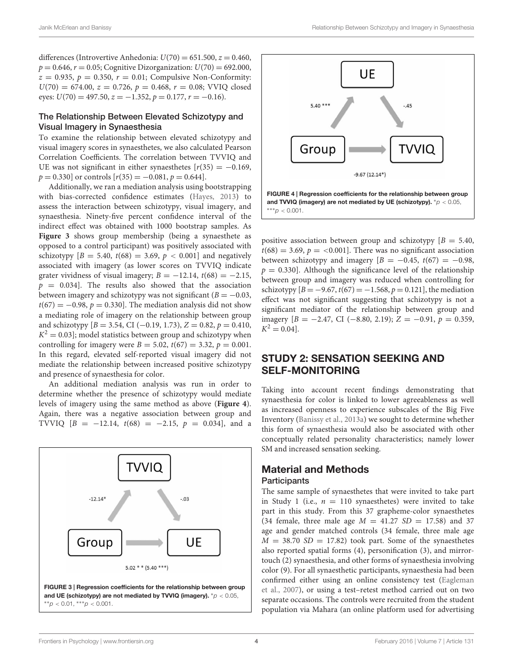differences (Introvertive Anhedonia:  $U(70) = 651.500, z = 0.460,$  $p = 0.646$ ,  $r = 0.05$ ; Cognitive Dizorganization:  $U(70) = 692.000$ ,  $z = 0.935$ ,  $p = 0.350$ ,  $r = 0.01$ ; Compulsive Non-Conformity:  $U(70) = 674.00, z = 0.726, p = 0.468, r = 0.08$ ; VVIQ closed eyes:  $U(70) = 497.50$ ,  $z = -1.352$ ,  $p = 0.177$ ,  $r = -0.16$ ).

#### The Relationship Between Elevated Schizotypy and Visual Imagery in Synaesthesia

To examine the relationship between elevated schizotypy and visual imagery scores in synaesthetes, we also calculated Pearson Correlation Coefficients. The correlation between TVVIQ and UE was not significant in either synaesthetes  $[r(35) = -0.169,$  $p = 0.330$  or controls  $[r(35) = -0.081, p = 0.644]$ .

Additionally, we ran a mediation analysis using bootstrapping with bias-corrected confidence estimates [\(Hayes,](#page-6-20) [2013\)](#page-6-20) to assess the interaction between schizotypy, visual imagery, and synaesthesia. Ninety-five percent confidence interval of the indirect effect was obtained with 1000 bootstrap samples. As **[Figure 3](#page-3-0)** shows group membership (being a synaesthete as opposed to a control participant) was positively associated with schizotypy  $[B = 5.40, t(68) = 3.69, p < 0.001]$  and negatively associated with imagery (as lower scores on TVVIQ indicate grater vividness of visual imagery;  $B = -12.14$ ,  $t(68) = -2.15$ ,  $p = 0.034$ ]. The results also showed that the association between imagery and schizotypy was not significant ( $B = -0.03$ ,  $t(67) = -0.98$ ,  $p = 0.330$ . The mediation analysis did not show a mediating role of imagery on the relationship between group and schizotypy  $[B = 3.54, CI (-0.19, 1.73), Z = 0.82, p = 0.410,$  $K^2 = 0.03$ ]; model statistics between group and schizotypy when controlling for imagery were  $B = 5.02$ ,  $t(67) = 3.32$ ,  $p = 0.001$ . In this regard, elevated self-reported visual imagery did not mediate the relationship between increased positive schizotypy and presence of synaesthesia for color.

An additional mediation analysis was run in order to determine whether the presence of schizotypy would mediate levels of imagery using the same method as above (**[Figure 4](#page-3-1)**). Again, there was a negative association between group and TVVIQ  $[B = -12.14, t(68) = -2.15, p = 0.034]$ , and a

<span id="page-3-0"></span>



<span id="page-3-1"></span>positive association between group and schizotypy  $[B = 5.40,$  $t(68) = 3.69$ ,  $p = <0.001$ . There was no significant association between schizotypy and imagery  $[B = -0.45, t(67) = -0.98,$  $p = 0.330$ . Although the significance level of the relationship between group and imagery was reduced when controlling for schizotypy  $[B = -9.67, t(67) = -1.568, p = 0.121]$ , the mediation effect was not significant suggesting that schizotypy is not a significant mediator of the relationship between group and imagery  $[B = -2.47, CI (-8.80, 2.19); Z = -0.91, p = 0.359,$  $K^2 = 0.04$ .

### STUDY 2: SENSATION SEEKING AND SELF-MONITORING

Taking into account recent findings demonstrating that synaesthesia for color is linked to lower agreeableness as well as increased openness to experience subscales of the Big Five Inventory [\(Banissy et al.,](#page-6-11) [2013a\)](#page-6-11) we sought to determine whether this form of synaesthesia would also be associated with other conceptually related personality characteristics; namely lower SM and increased sensation seeking.

## Material and Methods

#### **Participants**

The same sample of synaesthetes that were invited to take part in Study 1 (i.e.,  $n = 110$  synaesthetes) were invited to take part in this study. From this 37 grapheme-color synaesthetes (34 female, three male age  $M = 41.27$  SD = 17.58) and 37 age and gender matched controls (34 female, three male age  $M = 38.70$  SD = 17.82) took part. Some of the synaesthetes also reported spatial forms (4), personification (3), and mirrortouch (2) synaesthesia, and other forms of synaesthesia involving color (9). For all synaesthetic participants, synaesthesia had been confirmed either using an online consistency test [\(Eagleman](#page-6-18) [et al.,](#page-6-18) [2007\)](#page-6-18), or using a test–retest method carried out on two separate occasions. The controls were recruited from the student population via Mahara (an online platform used for advertising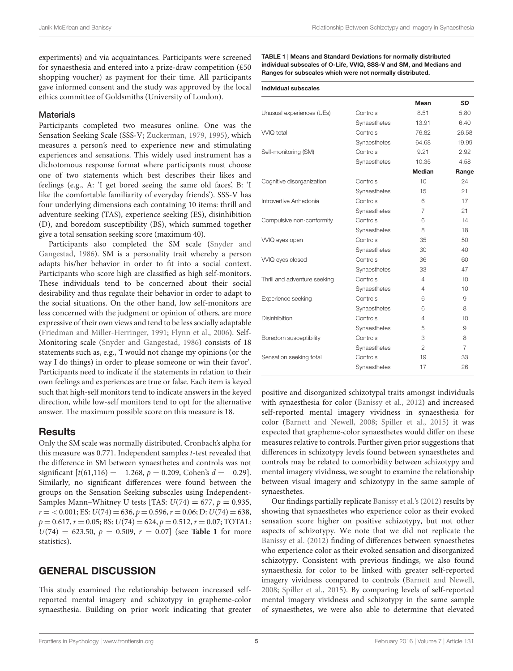experiments) and via acquaintances. Participants were screened for synaesthesia and entered into a prize-draw competition (£50 shopping voucher) as payment for their time. All participants gave informed consent and the study was approved by the local ethics committee of Goldsmiths (University of London).

#### **Materials**

Participants completed two measures online. One was the Sensation Seeking Scale (SSS-V; [Zuckerman,](#page-7-10) [1979,](#page-7-10) [1995\)](#page-7-11), which measures a person's need to experience new and stimulating experiences and sensations. This widely used instrument has a dichotomous response format where participants must choose one of two statements which best describes their likes and feelings (e.g., A: 'I get bored seeing the same old faces', B: 'I like the comfortable familiarity of everyday friends'). SSS-V has four underlying dimensions each containing 10 items: thrill and adventure seeking (TAS), experience seeking (ES), disinhibition (D), and boredom susceptibility (BS), which summed together give a total sensation seeking score (maximum 40).

Participants also completed the SM scale [\(Snyder and](#page-7-12) [Gangestad,](#page-7-12) [1986\)](#page-7-12). SM is a personality trait whereby a person adapts his/her behavior in order to fit into a social context. Participants who score high are classified as high self-monitors. These individuals tend to be concerned about their social desirability and thus regulate their behavior in order to adapt to the social situations. On the other hand, low self-monitors are less concerned with the judgment or opinion of others, are more expressive of their own views and tend to be less socially adaptable [\(Friedman and Miller-Herringer,](#page-6-21) [1991;](#page-6-21) [Flynn et al.,](#page-6-22) [2006\)](#page-6-22). Self-Monitoring scale [\(Snyder and Gangestad,](#page-7-12) [1986\)](#page-7-12) consists of 18 statements such as, e.g., 'I would not change my opinions (or the way I do things) in order to please someone or win their favor'. Participants need to indicate if the statements in relation to their own feelings and experiences are true or false. Each item is keyed such that high-self monitors tend to indicate answers in the keyed direction, while low-self monitors tend to opt for the alternative answer. The maximum possible score on this measure is 18.

#### **Results**

Only the SM scale was normally distributed. Cronbach's alpha for this measure was 0.771. Independent samples t-test revealed that the difference in SM between synaesthetes and controls was not significant  $[t(61,116) = -1.268, p = 0.209, \text{Cohen's } d = -0.29].$ Similarly, no significant differences were found between the groups on the Sensation Seeking subscales using Independent-Samples Mann–Whitney U tests [TAS:  $U(74) = 677$ ,  $p = 0.935$ ,  $r = 0.001$ ; ES:  $U(74) = 636$ ,  $p = 0.596$ ,  $r = 0.06$ ; D:  $U(74) = 638$ ,  $p = 0.617, r = 0.05$ ; BS:  $U(74) = 624, p = 0.512, r = 0.07$ ; TOTAL:  $U(74) = 623.50, p = 0.509, r = 0.07$  (see **[Table 1](#page-4-0)** for more statistics).

### GENERAL DISCUSSION

This study examined the relationship between increased selfreported mental imagery and schizotypy in grapheme-color synaesthesia. Building on prior work indicating that greater

<span id="page-4-0"></span>TABLE 1 | Means and Standard Deviations for normally distributed individual subscales of O-Life, VVIQ, SSS-V and SM, and Medians and Ranges for subscales which were not normally distributed.

|                              |              | Mean          | <b>SD</b>      |
|------------------------------|--------------|---------------|----------------|
| Unusual experiences (UEs)    | Controls     | 8.51          | 5.80           |
|                              | Synaesthetes | 13.91         | 6.40           |
| <b>WIQ</b> total             | Controls     | 76.82         | 26.58          |
|                              | Synaesthetes | 64.68         | 19.99          |
| Self-monitoring (SM)         | Controls     | 9.21          | 2.92           |
|                              | Synaesthetes | 10.35         | 4.58           |
|                              |              | <b>Median</b> | Range          |
| Cognitive disorganization    | Controls     | 10            | 24             |
|                              | Synaesthetes | 15            | 21             |
| Introvertive Anhedonia       | Controls     | 6             | 17             |
|                              | Synaesthetes | 7             | 21             |
| Compulsive non-conformity    | Controls     | 6             | 14             |
|                              | Synaesthetes | 8             | 18             |
| <b>WIQ</b> eyes open         | Controls     | 35            | 50             |
|                              | Synaesthetes | 30            | 40             |
| <b>VVIQ eyes closed</b>      | Controls     | 36            | 60             |
|                              | Synaesthetes | 33            | 47             |
| Thrill and adventure seeking | Controls     | 4             | 10             |
|                              | Synaesthetes | 4             | 10             |
| Experience seeking           | Controls     | 6             | 9              |
|                              | Synaesthetes | 6             | 8              |
| Disinhibition                | Controls     | 4             | 10             |
|                              | Synaesthetes | 5             | 9              |
| Boredom susceptibility       | Controls     | 3             | 8              |
|                              | Synaesthetes | 2             | $\overline{7}$ |
| Sensation seeking total      | Controls     | 19            | 33             |
|                              | Synaesthetes | 17            | 26             |

positive and disorganized schizotypal traits amongst individuals with synaesthesia for color [\(Banissy et al.,](#page-6-2) [2012\)](#page-6-2) and increased self-reported mental imagery vividness in synaesthesia for color [\(Barnett and Newell,](#page-6-5) [2008;](#page-6-5) [Spiller et al.,](#page-7-8) [2015\)](#page-7-8) it was expected that grapheme-color synaesthetes would differ on these measures relative to controls. Further given prior suggestions that differences in schizotypy levels found between synaesthetes and controls may be related to comorbidity between schizotypy and mental imagery vividness, we sought to examine the relationship between visual imagery and schizotypy in the same sample of synaesthetes.

Our findings partially replicate [Banissy et al.'](#page-6-2)s [\(2012\)](#page-6-2) results by showing that synaesthetes who experience color as their evoked sensation score higher on positive schizotypy, but not other aspects of schizotypy. We note that we did not replicate the [Banissy et al.](#page-6-2) [\(2012\)](#page-6-2) finding of differences between synaesthetes who experience color as their evoked sensation and disorganized schizotypy. Consistent with previous findings, we also found synaesthesia for color to be linked with greater self-reported imagery vividness compared to controls [\(Barnett and Newell,](#page-6-5) [2008;](#page-6-5) [Spiller et al.,](#page-7-8) [2015\)](#page-7-8). By comparing levels of self-reported mental imagery vividness and schizotypy in the same sample of synaesthetes, we were also able to determine that elevated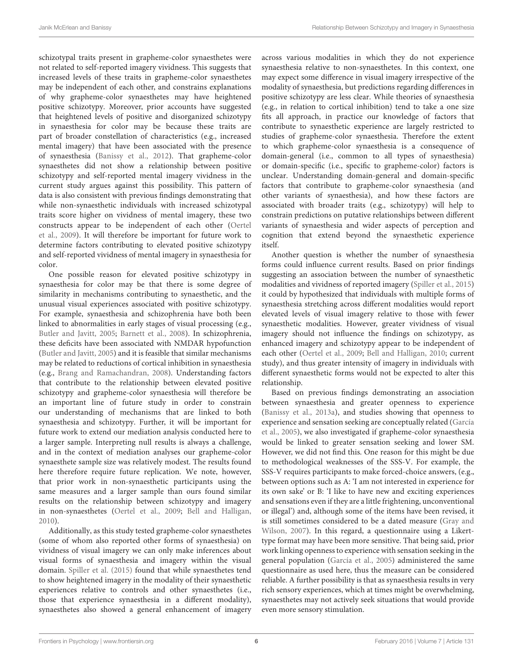schizotypal traits present in grapheme-color synaesthetes were not related to self-reported imagery vividness. This suggests that increased levels of these traits in grapheme-color synaesthetes may be independent of each other, and constrains explanations of why grapheme-color synaesthetes may have heightened positive schizotypy. Moreover, prior accounts have suggested that heightened levels of positive and disorganized schizotypy in synaesthesia for color may be because these traits are part of broader constellation of characteristics (e.g., increased mental imagery) that have been associated with the presence of synaesthesia [\(Banissy et al.,](#page-6-2) [2012\)](#page-6-2). That grapheme-color synaesthetes did not show a relationship between positive schizotypy and self-reported mental imagery vividness in the current study argues against this possibility. This pattern of data is also consistent with previous findings demonstrating that while non-synaesthetic individuals with increased schizotypal traits score higher on vividness of mental imagery, these two constructs appear to be independent of each other [\(Oertel](#page-6-6) [et al.,](#page-6-6) [2009\)](#page-6-6). It will therefore be important for future work to determine factors contributing to elevated positive schizotypy and self-reported vividness of mental imagery in synaesthesia for color.

One possible reason for elevated positive schizotypy in synaesthesia for color may be that there is some degree of similarity in mechanisms contributing to synaesthetic, and the unusual visual experiences associated with positive schizotypy. For example, synaesthesia and schizophrenia have both been linked to abnormalities in early stages of visual processing (e.g., [Butler and Javitt,](#page-6-7) [2005;](#page-6-7) [Barnett et al.,](#page-6-8) [2008\)](#page-6-8). In schizophrenia, these deficits have been associated with NMDAR hypofunction [\(Butler and Javitt,](#page-6-7) [2005\)](#page-6-7) and it is feasible that similar mechanisms may be related to reductions of cortical inhibition in synaesthesia (e.g., [Brang and Ramachandran,](#page-6-9) [2008\)](#page-6-9). Understanding factors that contribute to the relationship between elevated positive schizotypy and grapheme-color synaesthesia will therefore be an important line of future study in order to constrain our understanding of mechanisms that are linked to both synaesthesia and schizotypy. Further, it will be important for future work to extend our mediation analysis conducted here to a larger sample. Interpreting null results is always a challenge, and in the context of mediation analyses our grapheme-color synaesthete sample size was relatively modest. The results found here therefore require future replication. We note, however, that prior work in non-synaesthetic participants using the same measures and a larger sample than ours found similar results on the relationship between schizotypy and imagery in non-synaesthetes [\(Oertel et al.,](#page-6-6) [2009;](#page-6-6) [Bell and Halligan,](#page-6-23) [2010\)](#page-6-23).

Additionally, as this study tested grapheme-color synaesthetes (some of whom also reported other forms of synaesthesia) on vividness of visual imagery we can only make inferences about visual forms of synaesthesia and imagery within the visual domain. [Spiller et al.](#page-7-8) [\(2015\)](#page-7-8) found that while synaesthetes tend to show heightened imagery in the modality of their synaesthetic experiences relative to controls and other synaesthetes (i.e., those that experience synaesthesia in a different modality), synaesthetes also showed a general enhancement of imagery across various modalities in which they do not experience synaesthesia relative to non-synaesthetes. In this context, one may expect some difference in visual imagery irrespective of the modality of synaesthesia, but predictions regarding differences in positive schizotypy are less clear. While theories of synaesthesia (e.g., in relation to cortical inhibition) tend to take a one size fits all approach, in practice our knowledge of factors that contribute to synaesthetic experience are largely restricted to studies of grapheme-color synaesthesia. Therefore the extent to which grapheme-color synaesthesia is a consequence of domain-general (i.e., common to all types of synaesthesia) or domain-specific (i.e., specific to grapheme-color) factors is unclear. Understanding domain-general and domain-specific factors that contribute to grapheme-color synaesthesia (and other variants of synaesthesia), and how these factors are associated with broader traits (e.g., schizotypy) will help to constrain predictions on putative relationships between different variants of synaesthesia and wider aspects of perception and cognition that extend beyond the synaesthetic experience itself.

Another question is whether the number of synaesthesia forms could influence current results. Based on prior findings suggesting an association between the number of synaesthetic modalities and vividness of reported imagery [\(Spiller et al.,](#page-7-8) [2015\)](#page-7-8) it could by hypothesized that individuals with multiple forms of synaesthesia stretching across different modalities would report elevated levels of visual imagery relative to those with fewer synaesthetic modalities. However, greater vividness of visual imagery should not influence the findings on schizotypy, as enhanced imagery and schizotypy appear to be independent of each other [\(Oertel et al.,](#page-6-6) [2009;](#page-6-6) [Bell and Halligan,](#page-6-23) [2010;](#page-6-23) current study), and thus greater intensity of imagery in individuals with different synaesthetic forms would not be expected to alter this relationship.

Based on previous findings demonstrating an association between synaesthesia and greater openness to experience [\(Banissy et al.,](#page-6-11) [2013a\)](#page-6-11), and studies showing that openness to experience and sensation seeking are conceptually related [\(García](#page-6-14) [et al.,](#page-6-14) [2005\)](#page-6-14), we also investigated if grapheme-color synaesthesia would be linked to greater sensation seeking and lower SM. However, we did not find this. One reason for this might be due to methodological weaknesses of the SSS-V. For example, the SSS-V requires participants to make forced-choice answers, (e.g., between options such as A: 'I am not interested in experience for its own sake' or B: 'I like to have new and exciting experiences and sensations even if they are a little frightening, unconventional or illegal') and, although some of the items have been revised, it is still sometimes considered to be a dated measure [\(Gray and](#page-6-24) [Wilson,](#page-6-24) [2007\)](#page-6-24). In this regard, a questionnaire using a Likerttype format may have been more sensitive. That being said, prior work linking openness to experience with sensation seeking in the general population [\(García et al.,](#page-6-14) [2005\)](#page-6-14) administered the same questionnaire as used here, thus the measure can be considered reliable. A further possibility is that as synaesthesia results in very rich sensory experiences, which at times might be overwhelming, synaesthetes may not actively seek situations that would provide even more sensory stimulation.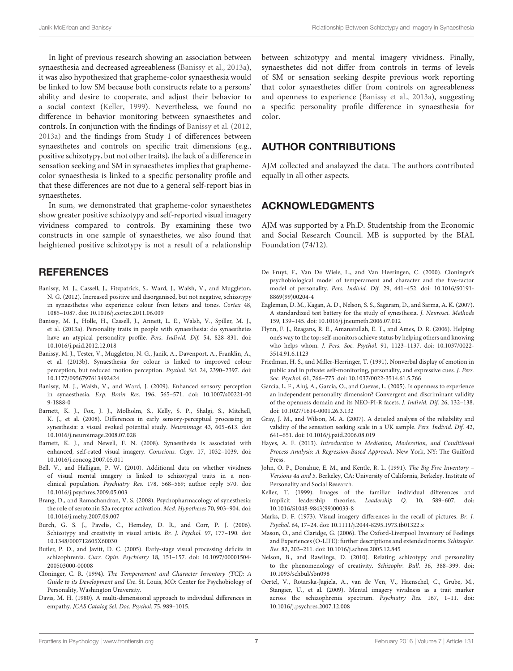In light of previous research showing an association between synaesthesia and decreased agreeableness [\(Banissy et al.,](#page-6-11) [2013a\)](#page-6-11), it was also hypothesized that grapheme-color synaesthesia would be linked to low SM because both constructs relate to a persons' ability and desire to cooperate, and adjust their behavior to a social context [\(Keller,](#page-6-17) [1999\)](#page-6-17). Nevertheless, we found no difference in behavior monitoring between synaesthetes and controls. In conjunction with the findings of [Banissy et al.](#page-6-2) [\(2012,](#page-6-2) [2013a\)](#page-6-11) and the findings from Study 1 of differences between synaesthetes and controls on specific trait dimensions (e.g., positive schizotypy, but not other traits), the lack of a difference in sensation seeking and SM in synaesthetes implies that graphemecolor synaesthesia is linked to a specific personality profile and that these differences are not due to a general self-report bias in synaesthetes.

In sum, we demonstrated that grapheme-color synaesthetes show greater positive schizotypy and self-reported visual imagery vividness compared to controls. By examining these two constructs in one sample of synaesthetes, we also found that heightened positive schizotypy is not a result of a relationship

#### **REFERENCES**

- <span id="page-6-2"></span>Banissy, M. J., Cassell, J., Fitzpatrick, S., Ward, J., Walsh, V., and Muggleton, N. G. (2012). Increased positive and disorganised, but not negative, schizotypy in synaesthetes who experience colour from letters and tones. Cortex 48, 1085–1087. doi: 10.1016/j.cortex.2011.06.009
- <span id="page-6-11"></span>Banissy, M. J., Holle, H., Cassell, J., Annett, L. E., Walsh, V., Spiller, M. J., et al. (2013a). Personality traits in people with synaesthesia: do synaesthetes have an atypical personality profile. Pers. Individ. Dif. 54, 828–831. doi: 10.1016/j.paid.2012.12.018
- <span id="page-6-1"></span>Banissy, M. J., Tester, V., Muggleton, N. G., Janik, A., Davenport, A., Franklin, A., et al. (2013b). Synaesthesia for colour is linked to improved colour perception, but reduced motion perception. Psychol. Sci. 24, 2390–2397. doi: 10.1177/0956797613492424
- <span id="page-6-0"></span>Banissy, M. J., Walsh, V., and Ward, J. (2009). Enhanced sensory perception in synaesthesia. Exp. Brain Res. 196, 565–571. doi: 10.1007/s00221-00 9-1888-0
- <span id="page-6-8"></span>Barnett, K. J., Fox, J. J., Molholm, S., Kelly, S. P., Shalgi, S., Mitchell, K. J., et al. (2008). Differences in early sensory-perceptual processing in synesthesia: a visual evoked potential study. Neuroimage 43, 605–613. doi: 10.1016/j.neuroimage.2008.07.028
- <span id="page-6-5"></span>Barnett, K. J., and Newell, F. N. (2008). Synaesthesia is associated with enhanced, self-rated visual imagery. Conscious. Cogn. 17, 1032–1039. doi: 10.1016/j.concog.2007.05.011
- <span id="page-6-23"></span>Bell, V., and Halligan, P. W. (2010). Additional data on whether vividness of visual mental imagery is linked to schizotypal traits in a nonclinical population. Psychiatry Res. 178, 568–569; author reply 570. doi: 10.1016/j.psychres.2009.05.003
- <span id="page-6-9"></span>Brang, D., and Ramachandran, V. S. (2008). Psychopharmacology of synesthesia: the role of serotonin S2a receptor activation. Med. Hypotheses 70, 903–904. doi: 10.1016/j.mehy.2007.09.007
- <span id="page-6-13"></span>Burch, G. S. J., Pavelis, C., Hemsley, D. R., and Corr, P. J. (2006). Schizotypy and creativity in visual artists. Br. J. Psychol. 97, 177-190. doi: 10.1348/000712605X60030
- <span id="page-6-7"></span>Butler, P. D., and Javitt, D. C. (2005). Early-stage visual processing deficits in schizophrenia. Curr. Opin. Psychiatry 18, 151–157. doi: 10.1097/00001504- 200503000-00008
- <span id="page-6-15"></span>Cloninger, C. R. (1994). The Temperament and Character Inventory (TCI): A Guide to its Development and Use. St. Louis, MO: Center for Psychobiology of Personality, Washington University.
- <span id="page-6-12"></span>Davis, M. H. (1980). A multi-dimensional approach to individual differences in empathy. JCAS Catalog Sel. Doc. Psychol. 75, 989–1015.

between schizotypy and mental imagery vividness. Finally, synaesthetes did not differ from controls in terms of levels of SM or sensation seeking despite previous work reporting that color synaesthetes differ from controls on agreeableness and openness to experience [\(Banissy et al.,](#page-6-11) [2013a\)](#page-6-11), suggesting a specific personality profile difference in synaesthesia for color.

#### AUTHOR CONTRIBUTIONS

AJM collected and analayzed the data. The authors contributed equally in all other aspects.

#### ACKNOWLEDGMENTS

AJM was supported by a Ph.D. Studentship from the Economic and Social Research Council. MB is supported by the BIAL Foundation (74/12).

- <span id="page-6-16"></span>De Fruyt, F., Van De Wiele, L., and Van Heeringen, C. (2000). Cloninger's psychobiological model of temperament and character and the five-factor model of personality. Pers. Individ. Dif. 29, 441–452. doi: 10.1016/S0191- 8869(99)00204-4
- <span id="page-6-18"></span>Eagleman, D. M., Kagan, A. D., Nelson, S. S., Sagaram, D., and Sarma, A. K. (2007). A standardized test battery for the study of synesthesia. J. Neurosci. Methods 159, 139–145. doi: 10.1016/j.jneumeth.2006.07.012
- <span id="page-6-22"></span>Flynn, F. J., Reagans, R. E., Amanatullah, E. T., and Ames, D. R. (2006). Helping one's way to the top: self-monitors achieve status by helping others and knowing who helps whom. J. Pers. Soc. Psychol. 91, 1123–1137. doi: 10.1037/0022- 3514.91.6.1123
- <span id="page-6-21"></span>Friedman, H. S., and Miller-Herringer, T. (1991). Nonverbal display of emotion in public and in private: self-monitoring, personality, and expressive cues. J. Pers. Soc. Psychol. 61, 766–775. doi: 10.1037/0022-3514.61.5.766
- <span id="page-6-14"></span>García, L. F., Aluj, A., García, O., and Cuevas, L. (2005). Is openness to experience an independent personality dimension? Convergent and discriminant validity of the openness domain and its NEO-PI-R facets. J. Individ. Dif. 26, 132–138. doi: 10.1027/1614-0001.26.3.132
- <span id="page-6-24"></span>Gray, J. M., and Wilson, M. A. (2007). A detailed analysis of the reliability and validity of the sensation seeking scale in a UK sample. Pers. Individ. Dif. 42, 641–651. doi: 10.1016/j.paid.2006.08.019
- <span id="page-6-20"></span>Hayes, A. F. (2013). Introduction to Mediation, Moderation, and Conditional Process Analysis: A Regression-Based Approach. New York, NY: The Guilford Press.
- <span id="page-6-10"></span>John, O. P., Donahue, E. M., and Kentle, R. L. (1991). The Big Five Inventory – Versions 4a and 5. Berkeley, CA: University of California, Berkeley, Institute of Personality and Social Research.
- <span id="page-6-17"></span>Keller, T. (1999). Images of the familiar: individual differences and implicit leadership theories. Leadership Q. 10, 589–607. doi: 10.1016/S1048-9843(99)00033-8
- <span id="page-6-19"></span>Marks, D. F. (1973). Visual imagery differences in the recall of pictures. Br. J. Psychol. 64, 17–24. doi: 10.1111/j.2044-8295.1973.tb01322.x
- <span id="page-6-3"></span>Mason, O., and Claridge, G. (2006). The Oxford-Liverpool Inventory of Feelings and Experiences (O-LIFE): further descriptions and extended norms. Schizophr. Res. 82, 203–211. doi: 10.1016/j.schres.2005.12.845
- <span id="page-6-4"></span>Nelson, B., and Rawlings, D. (2010). Relating schizotypy and personality to the phenomenology of creativity. Schizophr. Bull. 36, 388–399. doi: 10.1093/schbul/sbn098
- <span id="page-6-6"></span>Oertel, V., Rotarska-Jagiela, A., van de Ven, V., Haenschel, C., Grube, M., Stangier, U., et al. (2009). Mental imagery vividness as a trait marker across the schizophrenia spectrum. Psychiatry Res. 167, 1–11. doi: 10.1016/j.psychres.2007.12.008